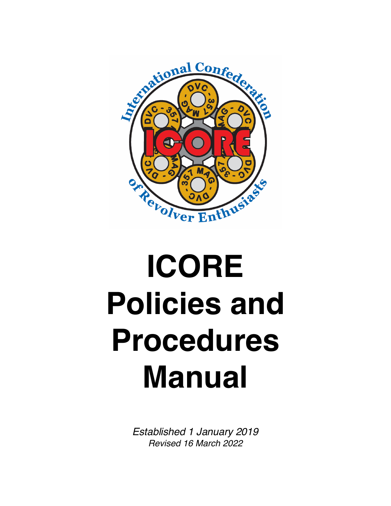

# **ICORE Policies and Procedures Manual**

*Established 1 January 2019 Revised 16 March 2022*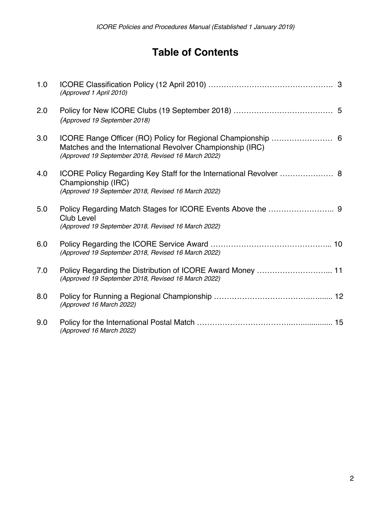# **Table of Contents**

| 1.0 | (Approved 1 April 2010)                                                                                                                         |  |
|-----|-------------------------------------------------------------------------------------------------------------------------------------------------|--|
| 2.0 | (Approved 19 September 2018)                                                                                                                    |  |
| 3.0 | Matches and the International Revolver Championship (IRC)<br>(Approved 19 September 2018, Revised 16 March 2022)                                |  |
| 4.0 | ICORE Policy Regarding Key Staff for the International Revolver  8<br>Championship (IRC)<br>(Approved 19 September 2018, Revised 16 March 2022) |  |
| 5.0 | <b>Club Level</b><br>(Approved 19 September 2018, Revised 16 March 2022)                                                                        |  |
| 6.0 | (Approved 19 September 2018, Revised 16 March 2022)                                                                                             |  |
| 7.0 | (Approved 19 September 2018, Revised 16 March 2022)                                                                                             |  |
| 8.0 | (Approved 16 March 2022)                                                                                                                        |  |
| 9.0 | (Approved 16 March 2022)                                                                                                                        |  |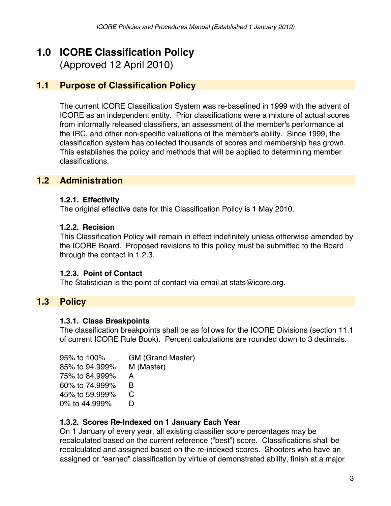# **1.0 ICORE Classification Policy**

(Approved 12 April 2010)

# **1.1 Purpose of Classification Policy**

The current ICORE Classification System was re-baselined in 1999 with the advent of ICORE as an independent entity. Prior classifications were a mixture of actual scores from informally released classifiers, an assessment of the member's performance at the IRC, and other non-specific valuations of the member's ability. Since 1999, the classification system has collected thousands of scores and membership has grown. This establishes the policy and methods that will be applied to determining member classifications.

### **1.2 Administration**

### **1.2.1. Effectivity**

The original effective date for this Classification Policy is 1 May 2010.

### **1.2.2. Recision**

This Classification Policy will remain in effect indefinitely unless otherwise amended by the ICORE Board. Proposed revisions to this policy must be submitted to the Board through the contact in 1.2.3.

### **1.2.3. Point of Contact**

The Statistician is the point of contact via email at stats@icore.org.

### **1.3 Policy**

### **1.3.1. Class Breakpoints**

The classification breakpoints shall be as follows for the ICORE Divisions (section 11.1 of current ICORE Rule Book). Percent calculations are rounded down to 3 decimals.

| 95% to 100%    | GM (Grand Master) |
|----------------|-------------------|
| 85% to 94.999% | M (Master)        |
| 75% to 84,999% | А                 |
| 60% to 74,999% | B                 |
| 45% to 59.999% | C                 |
| 0% to 44.999%  | ו ו               |

### **1.3.2. Scores Re-Indexed on 1 January Each Year**

On 1 January of every year, all existing classifier score percentages may be recalculated based on the current reference ("best") score. Classifications shall be recalculated and assigned based on the re-indexed scores. Shooters who have an assigned or "earned" classification by virtue of demonstrated ability, finish at a major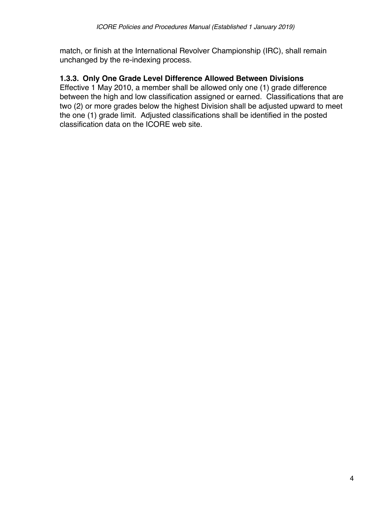match, or finish at the International Revolver Championship (IRC), shall remain unchanged by the re-indexing process.

### **1.3.3. Only One Grade Level Difference Allowed Between Divisions**

Effective 1 May 2010, a member shall be allowed only one (1) grade difference between the high and low classification assigned or earned. Classifications that are two (2) or more grades below the highest Division shall be adjusted upward to meet the one (1) grade limit. Adjusted classifications shall be identified in the posted classification data on the ICORE web site.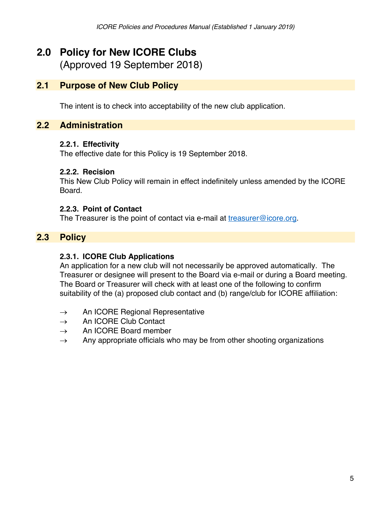# **2.0 Policy for New ICORE Clubs**

(Approved 19 September 2018)

### **2.1 Purpose of New Club Policy**

The intent is to check into acceptability of the new club application.

### **2.2 Administration**

### **2.2.1. Effectivity**

The effective date for this Policy is 19 September 2018.

### **2.2.2. Recision**

This New Club Policy will remain in effect indefinitely unless amended by the ICORE Board.

### **2.2.3. Point of Contact**

The Treasurer is the point of contact via e-mail at treasurer@icore.org.

# **2.3 Policy**

### **2.3.1. ICORE Club Applications**

An application for a new club will not necessarily be approved automatically. The Treasurer or designee will present to the Board via e-mail or during a Board meeting. The Board or Treasurer will check with at least one of the following to confirm suitability of the (a) proposed club contact and (b) range/club for ICORE affiliation:

- $\rightarrow$  An ICORE Regional Representative
- $\rightarrow$  An ICORE Club Contact
- $\rightarrow$  An ICORE Board member
- $\rightarrow$  Any appropriate officials who may be from other shooting organizations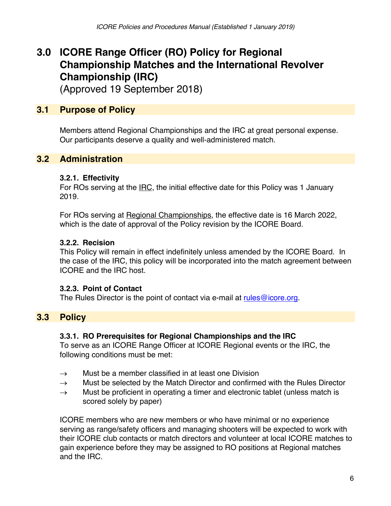# **3.0 ICORE Range Officer (RO) Policy for Regional Championship Matches and the International Revolver Championship (IRC)**

(Approved 19 September 2018)

# **3.1 Purpose of Policy**

Members attend Regional Championships and the IRC at great personal expense. Our participants deserve a quality and well-administered match.

# **3.2 Administration**

### **3.2.1. Effectivity**

For ROs serving at the IRC, the initial effective date for this Policy was 1 January 2019.

For ROs serving at Regional Championships, the effective date is 16 March 2022, which is the date of approval of the Policy revision by the ICORE Board.

### **3.2.2. Recision**

This Policy will remain in effect indefinitely unless amended by the ICORE Board. In the case of the IRC, this policy will be incorporated into the match agreement between ICORE and the IRC host.

### **3.2.3. Point of Contact**

The Rules Director is the point of contact via e-mail at rules  $@$  icore.org.

# **3.3 Policy**

### **3.3.1. RO Prerequisites for Regional Championships and the IRC**

To serve as an ICORE Range Officer at ICORE Regional events or the IRC, the following conditions must be met:

- $\rightarrow$  Must be a member classified in at least one Division
- $\rightarrow$  Must be selected by the Match Director and confirmed with the Rules Director
- $\rightarrow$  Must be proficient in operating a timer and electronic tablet (unless match is scored solely by paper)

ICORE members who are new members or who have minimal or no experience serving as range/safety officers and managing shooters will be expected to work with their ICORE club contacts or match directors and volunteer at local ICORE matches to gain experience before they may be assigned to RO positions at Regional matches and the IRC.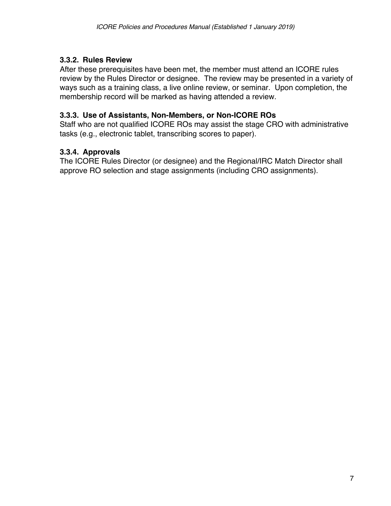### **3.3.2. Rules Review**

After these prerequisites have been met, the member must attend an ICORE rules review by the Rules Director or designee. The review may be presented in a variety of ways such as a training class, a live online review, or seminar. Upon completion, the membership record will be marked as having attended a review.

### **3.3.3. Use of Assistants, Non-Members, or Non-ICORE ROs**

Staff who are not qualified ICORE ROs may assist the stage CRO with administrative tasks (e.g., electronic tablet, transcribing scores to paper).

### **3.3.4. Approvals**

The ICORE Rules Director (or designee) and the Regional/IRC Match Director shall approve RO selection and stage assignments (including CRO assignments).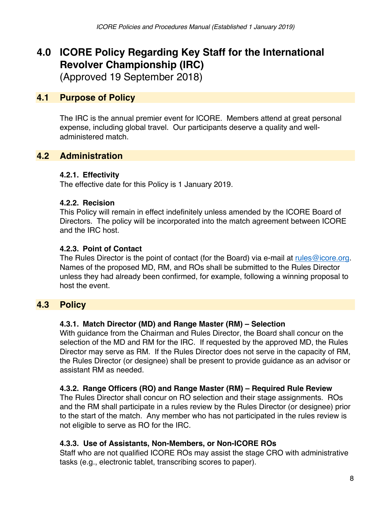# **4.0 ICORE Policy Regarding Key Staff for the International Revolver Championship (IRC)**

(Approved 19 September 2018)

# **4.1 Purpose of Policy**

The IRC is the annual premier event for ICORE. Members attend at great personal expense, including global travel. Our participants deserve a quality and welladministered match.

# **4.2 Administration**

### **4.2.1. Effectivity**

The effective date for this Policy is 1 January 2019.

### **4.2.2. Recision**

This Policy will remain in effect indefinitely unless amended by the ICORE Board of Directors. The policy will be incorporated into the match agreement between ICORE and the IRC host.

### **4.2.3. Point of Contact**

The Rules Director is the point of contact (for the Board) via e-mail at rules@icore.org. Names of the proposed MD, RM, and ROs shall be submitted to the Rules Director unless they had already been confirmed, for example, following a winning proposal to host the event.

# **4.3 Policy**

### **4.3.1. Match Director (MD) and Range Master (RM) – Selection**

With guidance from the Chairman and Rules Director, the Board shall concur on the selection of the MD and RM for the IRC. If requested by the approved MD, the Rules Director may serve as RM. If the Rules Director does not serve in the capacity of RM, the Rules Director (or designee) shall be present to provide guidance as an advisor or assistant RM as needed.

### **4.3.2. Range Officers (RO) and Range Master (RM) – Required Rule Review**

The Rules Director shall concur on RO selection and their stage assignments. ROs and the RM shall participate in a rules review by the Rules Director (or designee) prior to the start of the match. Any member who has not participated in the rules review is not eligible to serve as RO for the IRC.

### **4.3.3. Use of Assistants, Non-Members, or Non-ICORE ROs**

Staff who are not qualified ICORE ROs may assist the stage CRO with administrative tasks (e.g., electronic tablet, transcribing scores to paper).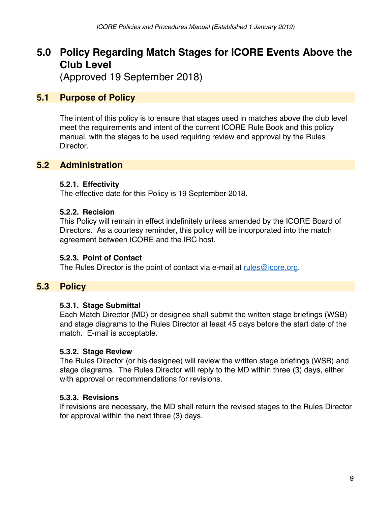# **5.0 Policy Regarding Match Stages for ICORE Events Above the Club Level**

(Approved 19 September 2018)

### **5.1 Purpose of Policy**

The intent of this policy is to ensure that stages used in matches above the club level meet the requirements and intent of the current ICORE Rule Book and this policy manual, with the stages to be used requiring review and approval by the Rules Director.

### **5.2 Administration**

### **5.2.1. Effectivity**

The effective date for this Policy is 19 September 2018.

### **5.2.2. Recision**

This Policy will remain in effect indefinitely unless amended by the ICORE Board of Directors. As a courtesy reminder, this policy will be incorporated into the match agreement between ICORE and the IRC host.

### **5.2.3. Point of Contact**

The Rules Director is the point of contact via e-mail at rules@icore.org.

### **5.3 Policy**

### **5.3.1. Stage Submittal**

Each Match Director (MD) or designee shall submit the written stage briefings (WSB) and stage diagrams to the Rules Director at least 45 days before the start date of the match. E-mail is acceptable.

### **5.3.2. Stage Review**

The Rules Director (or his designee) will review the written stage briefings (WSB) and stage diagrams. The Rules Director will reply to the MD within three (3) days, either with approval or recommendations for revisions.

### **5.3.3. Revisions**

If revisions are necessary, the MD shall return the revised stages to the Rules Director for approval within the next three (3) days.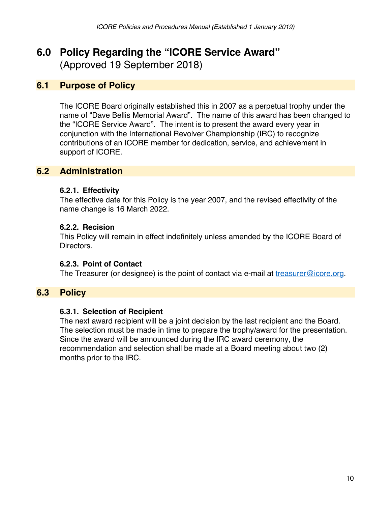# **6.0 Policy Regarding the "ICORE Service Award"** (Approved 19 September 2018)

### **6.1 Purpose of Policy**

The ICORE Board originally established this in 2007 as a perpetual trophy under the name of "Dave Bellis Memorial Award". The name of this award has been changed to the "ICORE Service Award". The intent is to present the award every year in conjunction with the International Revolver Championship (IRC) to recognize contributions of an ICORE member for dedication, service, and achievement in support of ICORE.

### **6.2 Administration**

### **6.2.1. Effectivity**

The effective date for this Policy is the year 2007, and the revised effectivity of the name change is 16 March 2022.

### **6.2.2. Recision**

This Policy will remain in effect indefinitely unless amended by the ICORE Board of Directors.

### **6.2.3. Point of Contact**

The Treasurer (or designee) is the point of contact via e-mail at  $t$ reasurer@icore.org.

### **6.3 Policy**

### **6.3.1. Selection of Recipient**

The next award recipient will be a joint decision by the last recipient and the Board. The selection must be made in time to prepare the trophy/award for the presentation. Since the award will be announced during the IRC award ceremony, the recommendation and selection shall be made at a Board meeting about two (2) months prior to the IRC.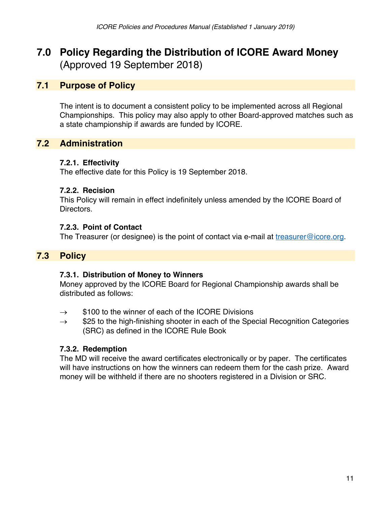# **7.0 Policy Regarding the Distribution of ICORE Award Money**  (Approved 19 September 2018)

### **7.1 Purpose of Policy**

The intent is to document a consistent policy to be implemented across all Regional Championships. This policy may also apply to other Board-approved matches such as a state championship if awards are funded by ICORE.

### **7.2 Administration**

### **7.2.1. Effectivity**

The effective date for this Policy is 19 September 2018.

### **7.2.2. Recision**

This Policy will remain in effect indefinitely unless amended by the ICORE Board of Directors.

### **7.2.3. Point of Contact**

The Treasurer (or designee) is the point of contact via e-mail at treasurer@icore.org.

### **7.3 Policy**

### **7.3.1. Distribution of Money to Winners**

Money approved by the ICORE Board for Regional Championship awards shall be distributed as follows:

- $\rightarrow$  \$100 to the winner of each of the ICORE Divisions
- $\rightarrow$  \$25 to the high-finishing shooter in each of the Special Recognition Categories (SRC) as defined in the ICORE Rule Book

### **7.3.2. Redemption**

The MD will receive the award certificates electronically or by paper. The certificates will have instructions on how the winners can redeem them for the cash prize. Award money will be withheld if there are no shooters registered in a Division or SRC.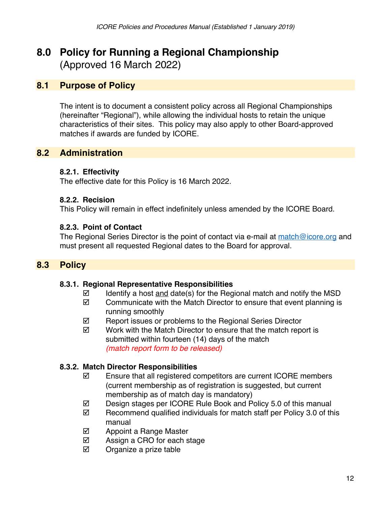# **8.0 Policy for Running a Regional Championship** (Approved 16 March 2022)

### **8.1 Purpose of Policy**

The intent is to document a consistent policy across all Regional Championships (hereinafter "Regional"), while allowing the individual hosts to retain the unique characteristics of their sites. This policy may also apply to other Board-approved matches if awards are funded by ICORE.

# **8.2 Administration**

### **8.2.1. Effectivity**

The effective date for this Policy is 16 March 2022.

### **8.2.2. Recision**

This Policy will remain in effect indefinitely unless amended by the ICORE Board.

### **8.2.3. Point of Contact**

The Regional Series Director is the point of contact via e-mail at match@icore.org and must present all requested Regional dates to the Board for approval.

# **8.3 Policy**

### **8.3.1. Regional Representative Responsibilities**

- $\boxtimes$  Identify a host and date(s) for the Regional match and notify the MSD
- $\boxtimes$  Communicate with the Match Director to ensure that event planning is running smoothly
- $\boxtimes$  Report issues or problems to the Regional Series Director
- $\boxtimes$  Work with the Match Director to ensure that the match report is submitted within fourteen (14) days of the match *(match report form to be released)*

### **8.3.2. Match Director Responsibilities**

- $\boxtimes$  Ensure that all registered competitors are current ICORE members (current membership as of registration is suggested, but current membership as of match day is mandatory)
- $\boxtimes$  Design stages per ICORE Rule Book and Policy 5.0 of this manual
- $\boxtimes$  Recommend qualified individuals for match staff per Policy 3.0 of this manual
- $\boxtimes$  Appoint a Range Master
- $\nabla$  Assign a CRO for each stage
- $\nabla$  Organize a prize table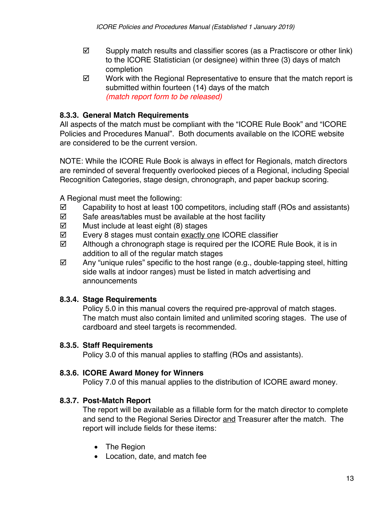- $\boxtimes$  Supply match results and classifier scores (as a Practiscore or other link) to the ICORE Statistician (or designee) within three (3) days of match completion
- $\boxtimes$  Work with the Regional Representative to ensure that the match report is submitted within fourteen (14) days of the match *(match report form to be released)*

### **8.3.3. General Match Requirements**

All aspects of the match must be compliant with the "ICORE Rule Book" and "ICORE Policies and Procedures Manual". Both documents available on the ICORE website are considered to be the current version.

NOTE: While the ICORE Rule Book is always in effect for Regionals, match directors are reminded of several frequently overlooked pieces of a Regional, including Special Recognition Categories, stage design, chronograph, and paper backup scoring.

A Regional must meet the following:

- $\boxtimes$  Capability to host at least 100 competitors, including staff (ROs and assistants)
- $\boxtimes$  Safe areas/tables must be available at the host facility
- $\boxtimes$  Must include at least eight (8) stages
- **Ø** Every 8 stages must contain exactly one ICORE classifier
- $\boxtimes$  Although a chronograph stage is required per the ICORE Rule Book, it is in addition to all of the regular match stages
- $\boxtimes$  Any "unique rules" specific to the host range (e.g., double-tapping steel, hitting side walls at indoor ranges) must be listed in match advertising and announcements

### **8.3.4. Stage Requirements**

Policy 5.0 in this manual covers the required pre-approval of match stages. The match must also contain limited and unlimited scoring stages. The use of cardboard and steel targets is recommended.

### **8.3.5. Staff Requirements**

Policy 3.0 of this manual applies to staffing (ROs and assistants).

### **8.3.6. ICORE Award Money for Winners**

Policy 7.0 of this manual applies to the distribution of ICORE award money.

### **8.3.7. Post-Match Report**

The report will be available as a fillable form for the match director to complete and send to the Regional Series Director and Treasurer after the match. The report will include fields for these items:

- The Region
- Location, date, and match fee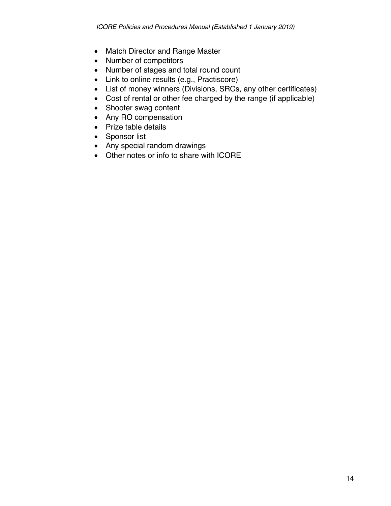- Match Director and Range Master
- Number of competitors
- Number of stages and total round count
- Link to online results (e.g., Practiscore)
- List of money winners (Divisions, SRCs, any other certificates)
- Cost of rental or other fee charged by the range (if applicable)
- Shooter swag content
- Any RO compensation
- Prize table details
- Sponsor list
- Any special random drawings
- Other notes or info to share with ICORE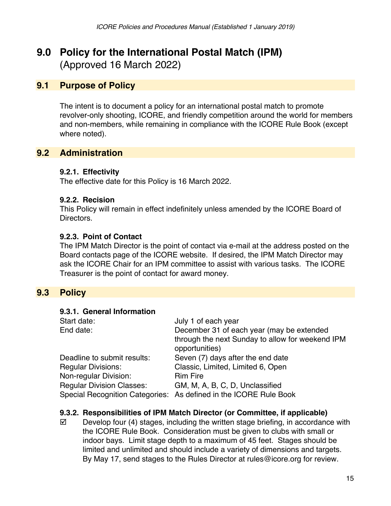# **9.0 Policy for the International Postal Match (IPM)**  (Approved 16 March 2022)

### **9.1 Purpose of Policy**

The intent is to document a policy for an international postal match to promote revolver-only shooting, ICORE, and friendly competition around the world for members and non-members, while remaining in compliance with the ICORE Rule Book (except where noted).

### **9.2 Administration**

### **9.2.1. Effectivity**

The effective date for this Policy is 16 March 2022.

### **9.2.2. Recision**

This Policy will remain in effect indefinitely unless amended by the ICORE Board of Directors.

### **9.2.3. Point of Contact**

The IPM Match Director is the point of contact via e-mail at the address posted on the Board contacts page of the ICORE website. If desired, the IPM Match Director may ask the ICORE Chair for an IPM committee to assist with various tasks. The ICORE Treasurer is the point of contact for award money.

### **9.3 Policy**

#### **9.3.1. General Information**

| Start date:                      | July 1 of each year                                               |
|----------------------------------|-------------------------------------------------------------------|
| End date:                        | December 31 of each year (may be extended                         |
|                                  | through the next Sunday to allow for weekend IPM                  |
|                                  | opportunities)                                                    |
| Deadline to submit results:      | Seven (7) days after the end date                                 |
| <b>Regular Divisions:</b>        | Classic, Limited, Limited 6, Open                                 |
| Non-regular Division:            | <b>Rim Fire</b>                                                   |
| <b>Regular Division Classes:</b> | GM, M, A, B, C, D, Unclassified                                   |
|                                  | Special Recognition Categories: As defined in the ICORE Rule Book |

### **9.3.2. Responsibilities of IPM Match Director (or Committee, if applicable)**

 $\boxtimes$  Develop four (4) stages, including the written stage briefing, in accordance with the ICORE Rule Book. Consideration must be given to clubs with small or indoor bays. Limit stage depth to a maximum of 45 feet. Stages should be limited and unlimited and should include a variety of dimensions and targets. By May 17, send stages to the Rules Director at rules@icore.org for review.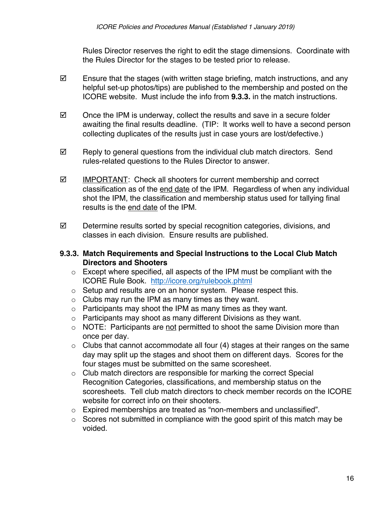Rules Director reserves the right to edit the stage dimensions. Coordinate with the Rules Director for the stages to be tested prior to release.

- $\boxtimes$  Ensure that the stages (with written stage briefing, match instructions, and any helpful set-up photos/tips) are published to the membership and posted on the ICORE website. Must include the info from **9.3.3.** in the match instructions.
- $\boxtimes$  Once the IPM is underway, collect the results and save in a secure folder awaiting the final results deadline. (TIP: It works well to have a second person collecting duplicates of the results just in case yours are lost/defective.)
- $\boxtimes$  Reply to general questions from the individual club match directors. Send rules-related questions to the Rules Director to answer.
- $\boxtimes$  IMPORTANT: Check all shooters for current membership and correct classification as of the end date of the IPM. Regardless of when any individual shot the IPM, the classification and membership status used for tallying final results is the end date of the IPM.
- $\boxtimes$  Determine results sorted by special recognition categories, divisions, and classes in each division. Ensure results are published.

### **9.3.3. Match Requirements and Special Instructions to the Local Club Match Directors and Shooters**

- o Except where specified, all aspects of the IPM must be compliant with the ICORE Rule Book. http://icore.org/rulebook.phtml
- o Setup and results are on an honor system. Please respect this.
- $\circ$  Clubs may run the IPM as many times as they want.
- o Participants may shoot the IPM as many times as they want.
- o Participants may shoot as many different Divisions as they want.
- o NOTE: Participants are not permitted to shoot the same Division more than once per day.
- $\circ$  Clubs that cannot accommodate all four (4) stages at their ranges on the same day may split up the stages and shoot them on different days. Scores for the four stages must be submitted on the same scoresheet.
- o Club match directors are responsible for marking the correct Special Recognition Categories, classifications, and membership status on the scoresheets. Tell club match directors to check member records on the ICORE website for correct info on their shooters.
- o Expired memberships are treated as "non-members and unclassified".
- $\circ$  Scores not submitted in compliance with the good spirit of this match may be voided.